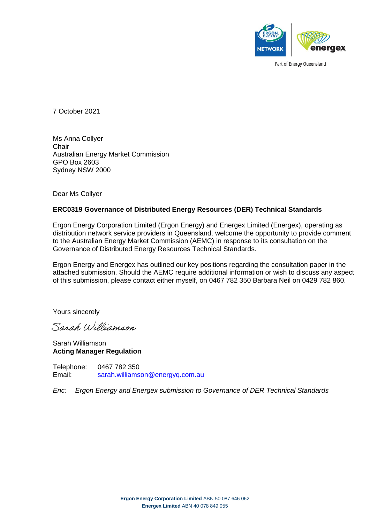

Part of Energy Queensland

7 October 2021

Ms Anna Collyer **Chair** Australian Energy Market Commission GPO Box 2603 Sydney NSW 2000

Dear Ms Collyer

#### **ERC0319 Governance of Distributed Energy Resources (DER) Technical Standards**

Ergon Energy Corporation Limited (Ergon Energy) and Energex Limited (Energex), operating as distribution network service providers in Queensland, welcome the opportunity to provide comment to the Australian Energy Market Commission (AEMC) in response to its consultation on the Governance of Distributed Energy Resources Technical Standards.

Ergon Energy and Energex has outlined our key positions regarding the consultation paper in the attached submission. Should the AEMC require additional information or wish to discuss any aspect of this submission, please contact either myself, on 0467 782 350 Barbara Neil on 0429 782 860.

Yours sincerely

Sarah Williamson

Sarah Williamson **Acting Manager Regulation**

Telephone: 0467 782 350 Email: [sarah.williamson@energyq.com.au](mailto:sarah.williamson@energyq.com.au)

*Enc: Ergon Energy and Energex submission to Governance of DER Technical Standards*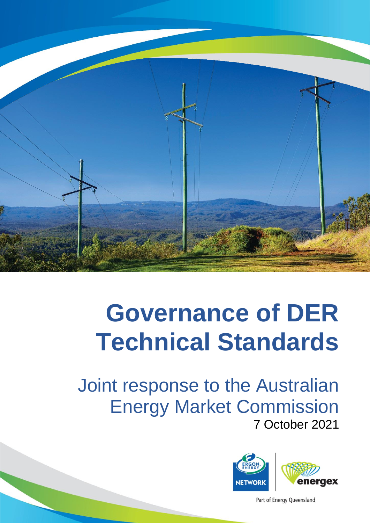

Joint response to the Australian Energy Market Commission 7 October 2021



Part of Energy Queensland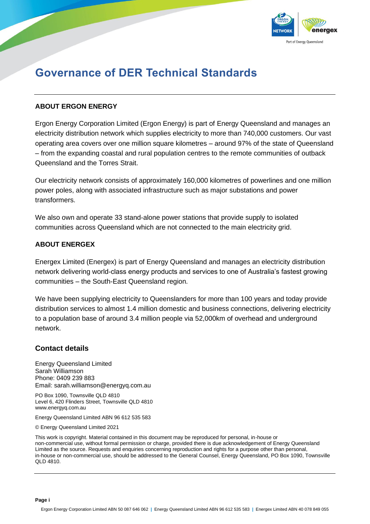

### **ABOUT ERGON ENERGY**

Ergon Energy Corporation Limited (Ergon Energy) is part of Energy Queensland and manages an electricity distribution network which supplies electricity to more than 740,000 customers. Our vast operating area covers over one million square kilometres – around 97% of the state of Queensland – from the expanding coastal and rural population centres to the remote communities of outback Queensland and the Torres Strait.

Our electricity network consists of approximately 160,000 kilometres of powerlines and one million power poles, along with associated infrastructure such as major substations and power transformers.

We also own and operate 33 stand-alone power stations that provide supply to isolated communities across Queensland which are not connected to the main electricity grid.

### **ABOUT ENERGEX**

Energex Limited (Energex) is part of Energy Queensland and manages an electricity distribution network delivering world-class energy products and services to one of Australia's fastest growing communities – the South-East Queensland region.

We have been supplying electricity to Queenslanders for more than 100 years and today provide distribution services to almost 1.4 million domestic and business connections, delivering electricity to a population base of around 3.4 million people via 52,000km of overhead and underground network.

## **Contact details**

Energy Queensland Limited Sarah Williamson Phone: 0409 239 883 Email: sarah.williamson@energyq.com.au

PO Box 1090, Townsville QLD 4810 Level 6, 420 Flinders Street, Townsville QLD 4810 www.energyq.com.au

Energy Queensland Limited ABN 96 612 535 583

© Energy Queensland Limited 2021

This work is copyright. Material contained in this document may be reproduced for personal, in-house or non-commercial use, without formal permission or charge, provided there is due acknowledgement of Energy Queensland Limited as the source. Requests and enquiries concerning reproduction and rights for a purpose other than personal, in-house or non-commercial use, should be addressed to the General Counsel, Energy Queensland, PO Box 1090, Townsville QLD 4810.

**Page i**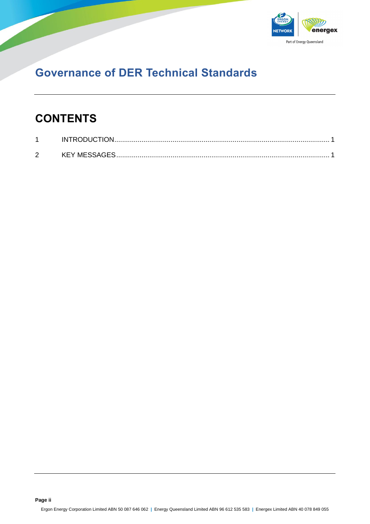

# **CONTENTS**

|        | <b>INTRODUCTION</b> |  |
|--------|---------------------|--|
| ◠<br>- | KEY MESSAGES        |  |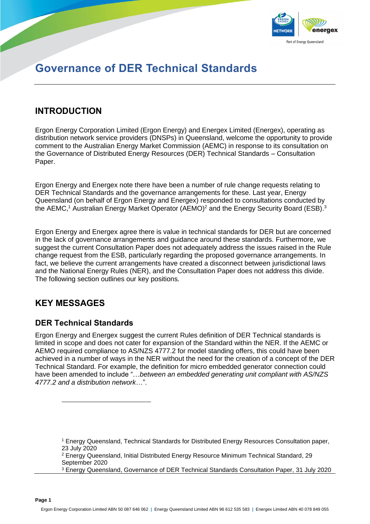

## <span id="page-4-0"></span>**INTRODUCTION**

Ergon Energy Corporation Limited (Ergon Energy) and Energex Limited (Energex), operating as distribution network service providers (DNSPs) in Queensland, welcome the opportunity to provide comment to the Australian Energy Market Commission (AEMC) in response to its consultation on the Governance of Distributed Energy Resources (DER) Technical Standards – Consultation Paper.

Ergon Energy and Energex note there have been a number of rule change requests relating to DER Technical Standards and the governance arrangements for these. Last year, Energy Queensland (on behalf of Ergon Energy and Energex) responded to consultations conducted by the AEMC,<sup>1</sup> Australian Energy Market Operator (AEMO)<sup>2</sup> and the Energy Security Board (ESB).<sup>3</sup>

Ergon Energy and Energex agree there is value in technical standards for DER but are concerned in the lack of governance arrangements and guidance around these standards. Furthermore, we suggest the current Consultation Paper does not adequately address the issues raised in the Rule change request from the ESB, particularly regarding the proposed governance arrangements. In fact, we believe the current arrangements have created a disconnect between jurisdictional laws and the National Energy Rules (NER), and the Consultation Paper does not address this divide. The following section outlines our key positions.

## <span id="page-4-1"></span>**KEY MESSAGES**

## **DER Technical Standards**

Ergon Energy and Energex suggest the current Rules definition of DER Technical standards is limited in scope and does not cater for expansion of the Standard within the NER. If the AEMC or AEMO required compliance to AS/NZS 4777.2 for model standing offers, this could have been achieved in a number of ways in the NER without the need for the creation of a concept of the DER Technical Standard. For example, the definition for micro embedded generator connection could have been amended to include "…*between an embedded generating unit compliant with AS/NZS 4777.2 and a distribution network*…".

<sup>3</sup> Energy Queensland, Governance of DER Technical Standards Consultation Paper, 31 July 2020

<sup>1</sup> Energy Queensland, Technical Standards for Distributed Energy Resources Consultation paper, 23 July 2020

<sup>&</sup>lt;sup>2</sup> Energy Queensland, Initial Distributed Energy Resource Minimum Technical Standard, 29 September 2020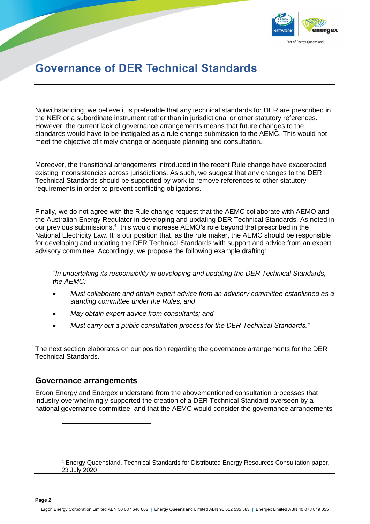

Notwithstanding, we believe it is preferable that any technical standards for DER are prescribed in the NER or a subordinate instrument rather than in jurisdictional or other statutory references. However, the current lack of governance arrangements means that future changes to the standards would have to be instigated as a rule change submission to the AEMC. This would not meet the objective of timely change or adequate planning and consultation.

Moreover, the transitional arrangements introduced in the recent Rule change have exacerbated existing inconsistencies across jurisdictions. As such, we suggest that any changes to the DER Technical Standards should be supported by work to remove references to other statutory requirements in order to prevent conflicting obligations.

Finally, we do not agree with the Rule change request that the AEMC collaborate with AEMO and the Australian Energy Regulator in developing and updating DER Technical Standards. As noted in our previous submissions,<sup>4</sup> this would increase AEMO's role beyond that prescribed in the National Electricity Law. It is our position that, as the rule maker, the AEMC should be responsible for developing and updating the DER Technical Standards with support and advice from an expert advisory committee. Accordingly, we propose the following example drafting:

*"In undertaking its responsibility in developing and updating the DER Technical Standards, the AEMC:*

- *Must collaborate and obtain expert advice from an advisory committee established as a standing committee under the Rules; and*
- *May obtain expert advice from consultants; and*
- *Must carry out a public consultation process for the DER Technical Standards."*

The next section elaborates on our position regarding the governance arrangements for the DER Technical Standards.

## **Governance arrangements**

Ergon Energy and Energex understand from the abovementioned consultation processes that industry overwhelmingly supported the creation of a DER Technical Standard overseen by a national governance committee, and that the AEMC would consider the governance arrangements

<sup>4</sup> Energy Queensland, Technical Standards for Distributed Energy Resources Consultation paper, 23 July 2020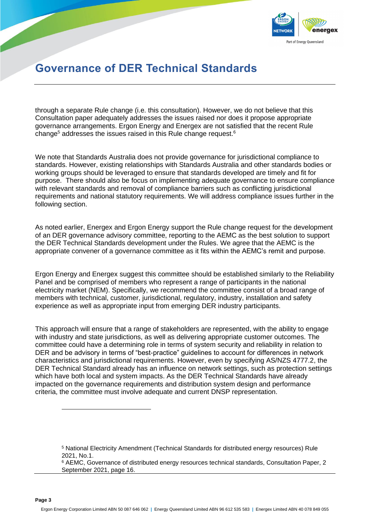

through a separate Rule change (i.e. this consultation). However, we do not believe that this Consultation paper adequately addresses the issues raised nor does it propose appropriate governance arrangements. Ergon Energy and Energex are not satisfied that the recent Rule change<sup>5</sup> addresses the issues raised in this Rule change request.<sup>6</sup>

We note that Standards Australia does not provide governance for jurisdictional compliance to standards. However, existing relationships with Standards Australia and other standards bodies or working groups should be leveraged to ensure that standards developed are timely and fit for purpose. There should also be focus on implementing adequate governance to ensure compliance with relevant standards and removal of compliance barriers such as conflicting jurisdictional requirements and national statutory requirements. We will address compliance issues further in the following section.

As noted earlier, Energex and Ergon Energy support the Rule change request for the development of an DER governance advisory committee, reporting to the AEMC as the best solution to support the DER Technical Standards development under the Rules. We agree that the AEMC is the appropriate convener of a governance committee as it fits within the AEMC's remit and purpose.

Ergon Energy and Energex suggest this committee should be established similarly to the Reliability Panel and be comprised of members who represent a range of participants in the national electricity market (NEM). Specifically, we recommend the committee consist of a broad range of members with technical, customer, jurisdictional, regulatory, industry, installation and safety experience as well as appropriate input from emerging DER industry participants.

This approach will ensure that a range of stakeholders are represented, with the ability to engage with industry and state jurisdictions, as well as delivering appropriate customer outcomes. The committee could have a determining role in terms of system security and reliability in relation to DER and be advisory in terms of "best-practice" guidelines to account for differences in network characteristics and jurisdictional requirements. However, even by specifying AS/NZS 4777.2, the DER Technical Standard already has an influence on network settings, such as protection settings which have both local and system impacts. As the DER Technical Standards have already impacted on the governance requirements and distribution system design and performance criteria, the committee must involve adequate and current DNSP representation.

<sup>5</sup> National Electricity Amendment (Technical Standards for distributed energy resources) Rule 2021, No.1.

<sup>&</sup>lt;sup>6</sup> AEMC, Governance of distributed energy resources technical standards, Consultation Paper, 2 September 2021, page 16.